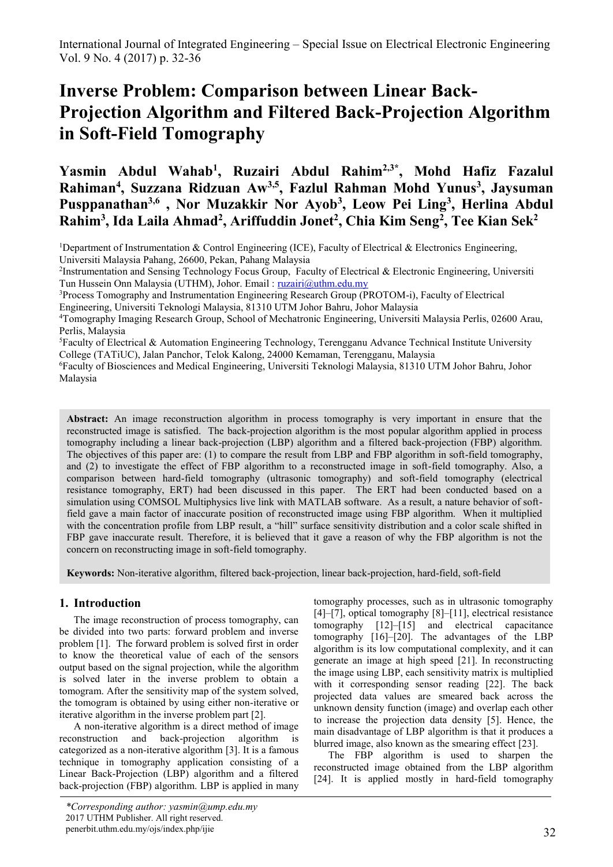# **Inverse Problem: Comparison between Linear Back-Projection Algorithm and Filtered Back-Projection Algorithm in Soft-Field Tomography**

**Yasmin Abdul Wahab<sup>1</sup> , Ruzairi Abdul Rahim2,3\* , Mohd Hafiz Fazalul Rahiman<sup>4</sup> , Suzzana Ridzuan Aw3,5 , Fazlul Rahman Mohd Yunus<sup>3</sup> , Jaysuman Pusppanathan3,6 , Nor Muzakkir Nor Ayob<sup>3</sup> , Leow Pei Ling<sup>3</sup> , Herlina Abdul Rahim<sup>3</sup> , Ida Laila Ahmad<sup>2</sup> , Ariffuddin Jonet<sup>2</sup> , Chia Kim Seng<sup>2</sup> , Tee Kian Sek<sup>2</sup>**

<sup>1</sup>Department of Instrumentation & Control Engineering (ICE), Faculty of Electrical & Electronics Engineering, Universiti Malaysia Pahang, 26600, Pekan, Pahang Malaysia

<sup>3</sup>Process Tomography and Instrumentation Engineering Research Group (PROTOM-i), Faculty of Electrical

Engineering, Universiti Teknologi Malaysia, 81310 UTM Johor Bahru, Johor Malaysia

<sup>5</sup>Faculty of Electrical & Automation Engineering Technology, Terengganu Advance Technical Institute University College (TATiUC), Jalan Panchor, Telok Kalong, 24000 Kemaman, Terengganu, Malaysia

<sup>6</sup>Faculty of Biosciences and Medical Engineering, Universiti Teknologi Malaysia, 81310 UTM Johor Bahru, Johor Malaysia

**Abstract:** An image reconstruction algorithm in process tomography is very important in ensure that the reconstructed image is satisfied. The back-projection algorithm is the most popular algorithm applied in process tomography including a linear back-projection (LBP) algorithm and a filtered back-projection (FBP) algorithm. The objectives of this paper are: (1) to compare the result from LBP and FBP algorithm in soft-field tomography, and (2) to investigate the effect of FBP algorithm to a reconstructed image in soft-field tomography. Also, a comparison between hard-field tomography (ultrasonic tomography) and soft-field tomography (electrical resistance tomography, ERT) had been discussed in this paper. The ERT had been conducted based on a simulation using COMSOL Multiphysics live link with MATLAB software. As a result, a nature behavior of softfield gave a main factor of inaccurate position of reconstructed image using FBP algorithm. When it multiplied with the concentration profile from LBP result, a "hill" surface sensitivity distribution and a color scale shifted in FBP gave inaccurate result. Therefore, it is believed that it gave a reason of why the FBP algorithm is not the concern on reconstructing image in soft-field tomography.

**Keywords:** Non-iterative algorithm, filtered back-projection, linear back-projection, hard-field, soft-field

# **1. Introduction**

The image reconstruction of process tomography, can be divided into two parts: forward problem and inverse problem [1]. The forward problem is solved first in order to know the theoretical value of each of the sensors output based on the signal projection, while the algorithm is solved later in the inverse problem to obtain a tomogram. After the sensitivity map of the system solved, the tomogram is obtained by using either non-iterative or iterative algorithm in the inverse problem part [2].

A non-iterative algorithm is a direct method of image reconstruction and back-projection algorithm is categorized as a non-iterative algorithm [3]. It is a famous technique in tomography application consisting of a Linear Back-Projection (LBP) algorithm and a filtered back-projection (FBP) algorithm. LBP is applied in many

tomography processes, such as in ultrasonic tomography [4]–[7], optical tomography [8]–[11], electrical resistance tomography [12]–[15] and electrical capacitance tomography [16]–[20]. The advantages of the LBP algorithm is its low computational complexity, and it can generate an image at high speed [21]. In reconstructing the image using LBP, each sensitivity matrix is multiplied with it corresponding sensor reading [22]. The back projected data values are smeared back across the unknown density function (image) and overlap each other to increase the projection data density [5]. Hence, the main disadvantage of LBP algorithm is that it produces a blurred image, also known as the smearing effect [23].

The FBP algorithm is used to sharpen the reconstructed image obtained from the LBP algorithm [24]. It is applied mostly in hard-field tomography

<sup>&</sup>lt;sup>2</sup>Instrumentation and Sensing Technology Focus Group, Faculty of Electrical & Electronic Engineering, Universiti Tun Hussein Onn Malaysia (UTHM), Johor. Email: [ruzairi@uthm.edu.my](mailto:ruzairi@uthm.edu.my)

<sup>4</sup>Tomography Imaging Research Group, School of Mechatronic Engineering, Universiti Malaysia Perlis, 02600 Arau, Perlis, Malaysia

*<sup>\*</sup>Corresponding author: yasmin@ump.edu.my* 2017 UTHM Publisher. All right reserved. penerbit.uthm.edu.my/ojs/index.php/ijie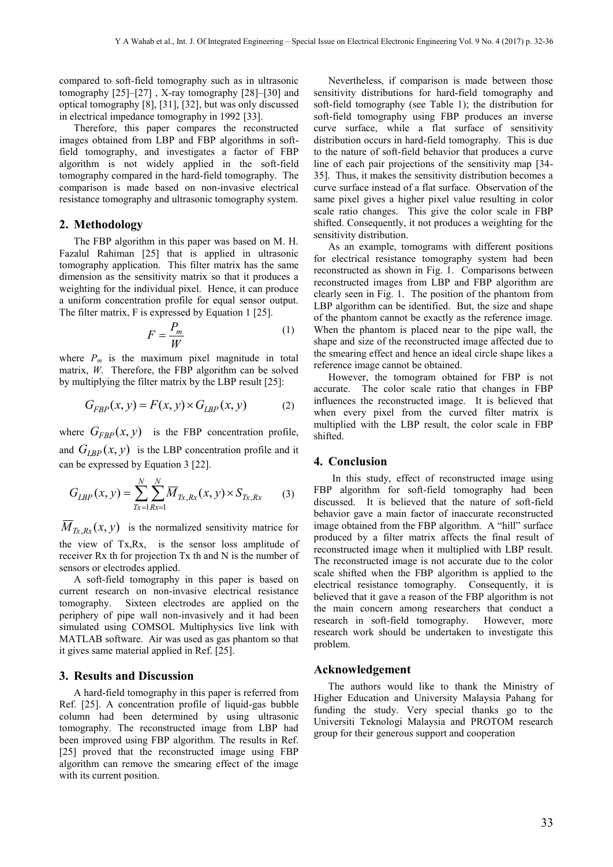compared to soft-field tomography such as in ultrasonic tomography [25]–[27] , X-ray tomography [28]–[30] and optical tomography [8], [31], [32], but was only discussed in electrical impedance tomography in 1992 [33].

Therefore, this paper compares the reconstructed images obtained from LBP and FBP algorithms in softfield tomography, and investigates a factor of FBP algorithm is not widely applied in the soft-field tomography compared in the hard-field tomography. The comparison is made based on non-invasive electrical resistance tomography and ultrasonic tomography system.

## **2. Methodology**

The FBP algorithm in this paper was based on M. H. Fazalul Rahiman [25] that is applied in ultrasonic tomography application. This filter matrix has the same dimension as the sensitivity matrix so that it produces a weighting for the individual pixel. Hence, it can produce a uniform concentration profile for equal sensor output. The filter matrix, F is expressed by Equation 1 [25].

$$
F = \frac{P_m}{W} \tag{1}
$$

where  $P_m$  is the maximum pixel magnitude in total matrix, *W*. Therefore, the FBP algorithm can be solved by multiplying the filter matrix by the LBP result [25]:

$$
G_{FBP}(x, y) = F(x, y) \times G_{LBP}(x, y)
$$
 (2)

where  $G_{FBP}(x, y)$  is the FBP concentration profile, and  $G_{LBP}(x, y)$  is the LBP concentration profile and it can be expressed by Equation 3 [22].

$$
G_{LBP}(x, y) = \sum_{Tx=1}^{N} \sum_{Rx=1}^{N} \overline{M}_{Tx, Rx}(x, y) \times S_{Tx, Rx}
$$
 (3)

 $M_{Tx, Rx}(x, y)$  is the normalized sensitivity matrice for the view of Tx,Rx, is the sensor loss amplitude of receiver Rx th for projection Tx th and N is the number of sensors or electrodes applied.

A soft-field tomography in this paper is based on current research on non-invasive electrical resistance tomography. Sixteen electrodes are applied on the periphery of pipe wall non-invasively and it had been simulated using COMSOL Multiphysics live link with MATLAB software. Air was used as gas phantom so that it gives same material applied in Ref. [25].

#### **3. Results and Discussion**

A hard-field tomography in this paper is referred from Ref. [25]. A concentration profile of liquid-gas bubble column had been determined by using ultrasonic tomography. The reconstructed image from LBP had been improved using FBP algorithm. The results in Ref. [25] proved that the reconstructed image using FBP algorithm can remove the smearing effect of the image with its current position.

Nevertheless, if comparison is made between those sensitivity distributions for hard-field tomography and soft-field tomography (see Table 1); the distribution for soft-field tomography using FBP produces an inverse curve surface, while a flat surface of sensitivity distribution occurs in hard-field tomography. This is due to the nature of soft-field behavior that produces a curve line of each pair projections of the sensitivity map [34- 35]. Thus, it makes the sensitivity distribution becomes a curve surface instead of a flat surface. Observation of the same pixel gives a higher pixel value resulting in color scale ratio changes. This give the color scale in FBP shifted. Consequently, it not produces a weighting for the sensitivity distribution.

As an example, tomograms with different positions for electrical resistance tomography system had been reconstructed as shown in Fig. 1. Comparisons between reconstructed images from LBP and FBP algorithm are clearly seen in Fig. 1. The position of the phantom from LBP algorithm can be identified. But, the size and shape of the phantom cannot be exactly as the reference image. When the phantom is placed near to the pipe wall, the shape and size of the reconstructed image affected due to the smearing effect and hence an ideal circle shape likes a reference image cannot be obtained.

However, the tomogram obtained for FBP is not accurate. The color scale ratio that changes in FBP influences the reconstructed image. It is believed that when every pixel from the curved filter matrix is multiplied with the LBP result, the color scale in FBP shifted.

#### **4. Conclusion**

In this study, effect of reconstructed image using FBP algorithm for soft-field tomography had been discussed. It is believed that the nature of soft-field behavior gave a main factor of inaccurate reconstructed image obtained from the FBP algorithm. A "hill" surface produced by a filter matrix affects the final result of reconstructed image when it multiplied with LBP result. The reconstructed image is not accurate due to the color scale shifted when the FBP algorithm is applied to the electrical resistance tomography. Consequently, it is believed that it gave a reason of the FBP algorithm is not the main concern among researchers that conduct a research in soft-field tomography. However, more research work should be undertaken to investigate this problem.

# **Acknowledgement**

The authors would like to thank the Ministry of Higher Education and University Malaysia Pahang for funding the study. Very special thanks go to the Universiti Teknologi Malaysia and PROTOM research group for their generous support and cooperation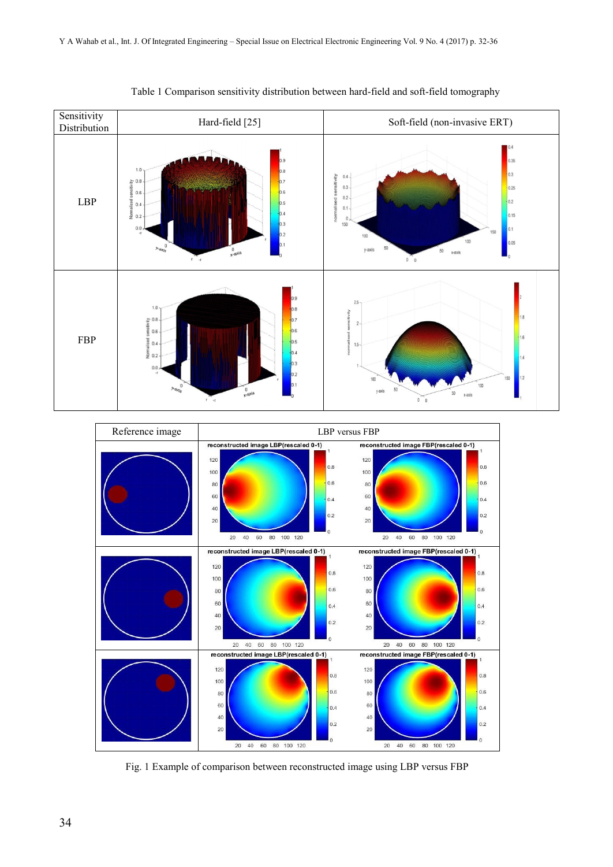

Table 1 Comparison sensitivity distribution between hard-field and soft-field tomography



Fig. 1 Example of comparison between reconstructed image using LBP versus FBP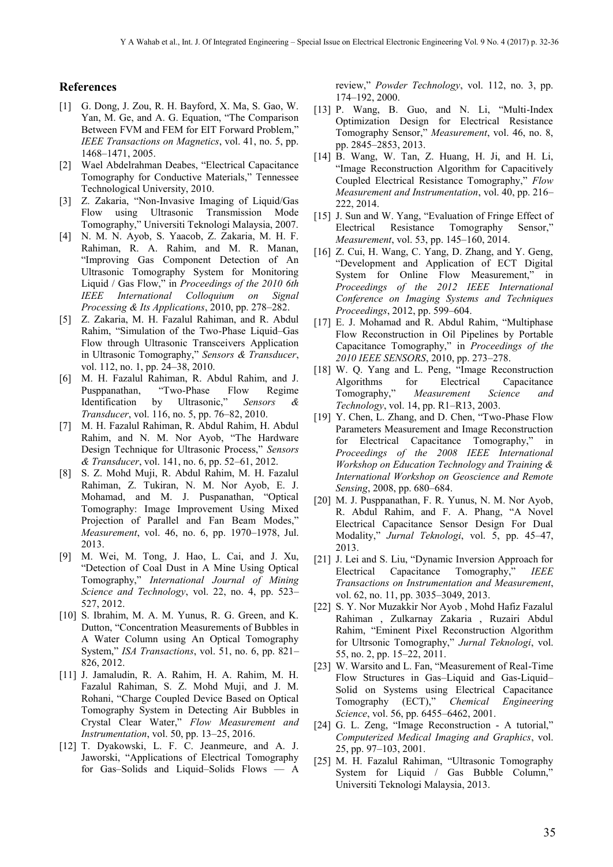## **References**

- [1] G. Dong, J. Zou, R. H. Bayford, X. Ma, S. Gao, W. Yan, M. Ge, and A. G. Equation, "The Comparison Between FVM and FEM for EIT Forward Problem," *IEEE Transactions on Magnetics*, vol. 41, no. 5, pp. 1468–1471, 2005.
- [2] Wael Abdelrahman Deabes, "Electrical Capacitance Tomography for Conductive Materials," Tennessee Technological University, 2010.
- [3] Z. Zakaria, "Non-Invasive Imaging of Liquid/Gas Flow using Ultrasonic Transmission Mode Tomography," Universiti Teknologi Malaysia, 2007.
- [4] N. M. N. Ayob, S. Yaacob, Z. Zakaria, M. H. F. Rahiman, R. A. Rahim, and M. R. Manan, "Improving Gas Component Detection of An Ultrasonic Tomography System for Monitoring Liquid / Gas Flow," in *Proceedings of the 2010 6th IEEE International Colloquium on Signal Processing & Its Applications*, 2010, pp. 278–282.
- [5] Z. Zakaria, M. H. Fazalul Rahiman, and R. Abdul Rahim, "Simulation of the Two-Phase Liquid–Gas Flow through Ultrasonic Transceivers Application in Ultrasonic Tomography," *Sensors & Transducer*, vol. 112, no. 1, pp. 24–38, 2010.
- [6] M. H. Fazalul Rahiman, R. Abdul Rahim, and J. Pusppanathan, "Two-Phase Flow Regime Identification by Ultrasonic," *Sensors & Transducer*, vol. 116, no. 5, pp. 76–82, 2010.
- [7] M. H. Fazalul Rahiman, R. Abdul Rahim, H. Abdul Rahim, and N. M. Nor Ayob, "The Hardware Design Technique for Ultrasonic Process," *Sensors & Transducer*, vol. 141, no. 6, pp. 52–61, 2012.
- [8] S. Z. Mohd Muji, R. Abdul Rahim, M. H. Fazalul Rahiman, Z. Tukiran, N. M. Nor Ayob, E. J. Mohamad, and M. J. Puspanathan, "Optical Tomography: Image Improvement Using Mixed Projection of Parallel and Fan Beam Modes," *Measurement*, vol. 46, no. 6, pp. 1970–1978, Jul. 2013.
- [9] M. Wei, M. Tong, J. Hao, L. Cai, and J. Xu, "Detection of Coal Dust in A Mine Using Optical Tomography," *International Journal of Mining Science and Technology*, vol. 22, no. 4, pp. 523– 527, 2012.
- [10] S. Ibrahim, M. A. M. Yunus, R. G. Green, and K. Dutton, "Concentration Measurements of Bubbles in A Water Column using An Optical Tomography System," *ISA Transactions*, vol. 51, no. 6, pp. 821– 826, 2012.
- [11] J. Jamaludin, R. A. Rahim, H. A. Rahim, M. H. Fazalul Rahiman, S. Z. Mohd Muji, and J. M. Rohani, "Charge Coupled Device Based on Optical Tomography System in Detecting Air Bubbles in Crystal Clear Water," *Flow Measurement and Instrumentation*, vol. 50, pp. 13–25, 2016.
- [12] T. Dyakowski, L. F. C. Jeanmeure, and A. J. Jaworski, "Applications of Electrical Tomography for Gas–Solids and Liquid–Solids Flows — A

review," *Powder Technology*, vol. 112, no. 3, pp. 174–192, 2000.

- [13] P. Wang, B. Guo, and N. Li, "Multi-Index Optimization Design for Electrical Resistance Tomography Sensor," *Measurement*, vol. 46, no. 8, pp. 2845–2853, 2013.
- [14] B. Wang, W. Tan, Z. Huang, H. Ji, and H. Li, "Image Reconstruction Algorithm for Capacitively Coupled Electrical Resistance Tomography," *Flow Measurement and Instrumentation*, vol. 40, pp. 216– 222, 2014.
- [15] J. Sun and W. Yang, "Evaluation of Fringe Effect of Electrical Resistance Tomography Sensor," *Measurement*, vol. 53, pp. 145–160, 2014.
- [16] Z. Cui, H. Wang, C. Yang, D. Zhang, and Y. Geng, "Development and Application of ECT Digital System for Online Flow Measurement," in *Proceedings of the 2012 IEEE International Conference on Imaging Systems and Techniques Proceedings*, 2012, pp. 599–604.
- [17] E. J. Mohamad and R. Abdul Rahim, "Multiphase Flow Reconstruction in Oil Pipelines by Portable Capacitance Tomography," in *Proceedings of the 2010 IEEE SENSORS*, 2010, pp. 273–278.
- [18] W. Q. Yang and L. Peng, "Image Reconstruction Algorithms for Electrical Capacitance Tomography," *Measurement Science and Technology*, vol. 14, pp. R1–R13, 2003.
- [19] Y. Chen, L. Zhang, and D. Chen, "Two-Phase Flow Parameters Measurement and Image Reconstruction for Electrical Capacitance Tomography," in *Proceedings of the 2008 IEEE International Workshop on Education Technology and Training & International Workshop on Geoscience and Remote Sensing*, 2008, pp. 680–684.
- [20] M. J. Pusppanathan, F. R. Yunus, N. M. Nor Ayob, R. Abdul Rahim, and F. A. Phang, "A Novel Electrical Capacitance Sensor Design For Dual Modality," *Jurnal Teknologi*, vol. 5, pp. 45–47, 2013.
- [21] J. Lei and S. Liu, "Dynamic Inversion Approach for Electrical Capacitance Tomography," *IEEE Transactions on Instrumentation and Measurement*, vol. 62, no. 11, pp. 3035–3049, 2013.
- [22] S. Y. Nor Muzakkir Nor Ayob, Mohd Hafiz Fazalul Rahiman , Zulkarnay Zakaria , Ruzairi Abdul Rahim, "Eminent Pixel Reconstruction Algorithm for Ultrsonic Tomography," *Jurnal Teknologi*, vol. 55, no. 2, pp. 15–22, 2011.
- [23] W. Warsito and L. Fan, "Measurement of Real-Time Flow Structures in Gas–Liquid and Gas-Liquid– Solid on Systems using Electrical Capacitance Tomography (ECT)," *Chemical Engineering Science*, vol. 56, pp. 6455–6462, 2001.
- [24] G. L. Zeng, "Image Reconstruction A tutorial," *Computerized Medical Imaging and Graphics*, vol. 25, pp. 97–103, 2001.
- [25] M. H. Fazalul Rahiman, "Ultrasonic Tomography System for Liquid / Gas Bubble Column," Universiti Teknologi Malaysia, 2013.